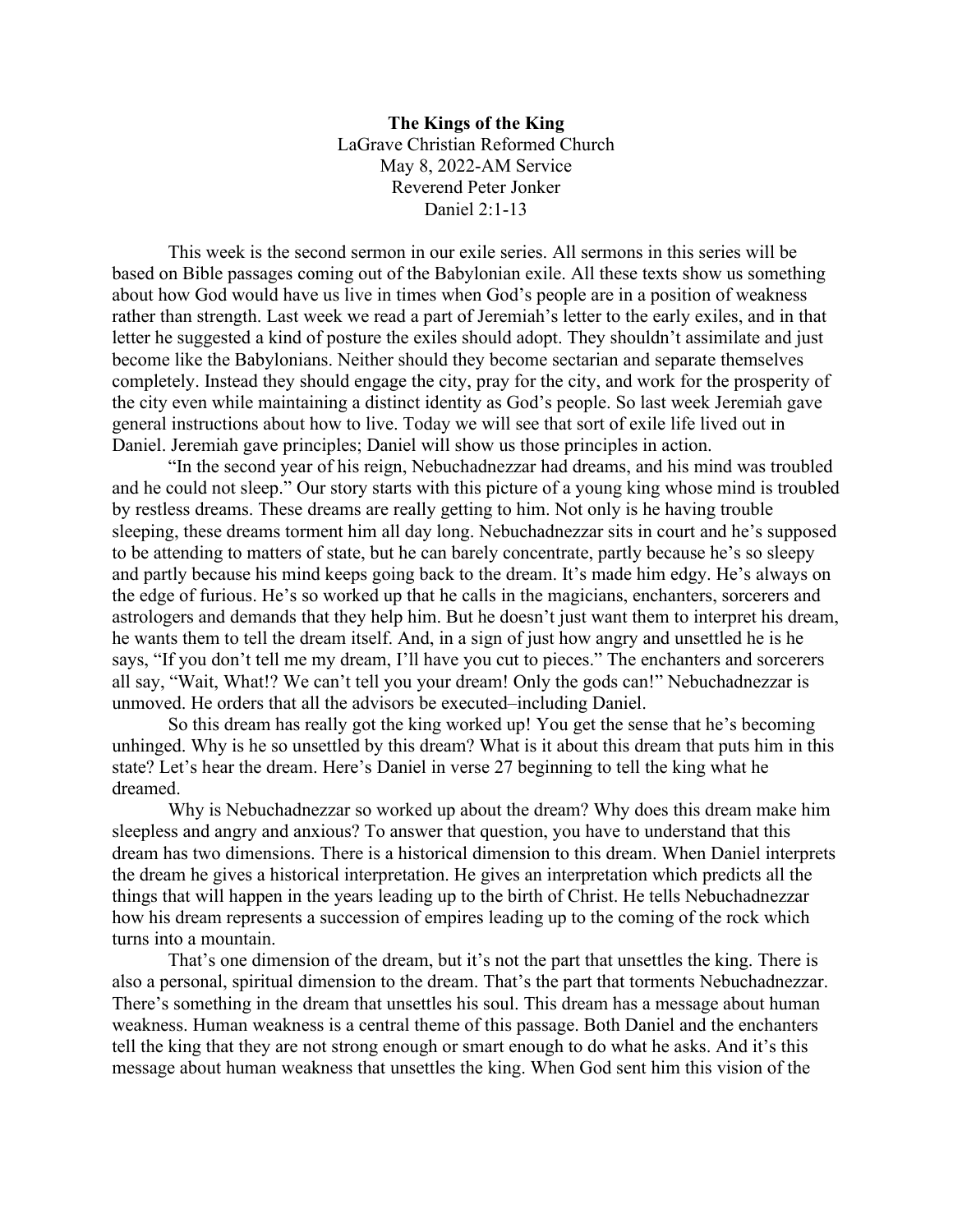**The Kings of the King** LaGrave Christian Reformed Church May 8, 2022-AM Service Reverend Peter Jonker Daniel 2:1-13

This week is the second sermon in our exile series. All sermons in this series will be based on Bible passages coming out of the Babylonian exile. All these texts show us something about how God would have us live in times when God's people are in a position of weakness rather than strength. Last week we read a part of Jeremiah's letter to the early exiles, and in that letter he suggested a kind of posture the exiles should adopt. They shouldn't assimilate and just become like the Babylonians. Neither should they become sectarian and separate themselves completely. Instead they should engage the city, pray for the city, and work for the prosperity of the city even while maintaining a distinct identity as God's people. So last week Jeremiah gave general instructions about how to live. Today we will see that sort of exile life lived out in Daniel. Jeremiah gave principles; Daniel will show us those principles in action.

"In the second year of his reign, Nebuchadnezzar had dreams, and his mind was troubled and he could not sleep." Our story starts with this picture of a young king whose mind is troubled by restless dreams. These dreams are really getting to him. Not only is he having trouble sleeping, these dreams torment him all day long. Nebuchadnezzar sits in court and he's supposed to be attending to matters of state, but he can barely concentrate, partly because he's so sleepy and partly because his mind keeps going back to the dream. It's made him edgy. He's always on the edge of furious. He's so worked up that he calls in the magicians, enchanters, sorcerers and astrologers and demands that they help him. But he doesn't just want them to interpret his dream, he wants them to tell the dream itself. And, in a sign of just how angry and unsettled he is he says, "If you don't tell me my dream, I'll have you cut to pieces." The enchanters and sorcerers all say, "Wait, What!? We can't tell you your dream! Only the gods can!" Nebuchadnezzar is unmoved. He orders that all the advisors be executed–including Daniel.

So this dream has really got the king worked up! You get the sense that he's becoming unhinged. Why is he so unsettled by this dream? What is it about this dream that puts him in this state? Let's hear the dream. Here's Daniel in verse 27 beginning to tell the king what he dreamed.

Why is Nebuchadnezzar so worked up about the dream? Why does this dream make him sleepless and angry and anxious? To answer that question, you have to understand that this dream has two dimensions. There is a historical dimension to this dream. When Daniel interprets the dream he gives a historical interpretation. He gives an interpretation which predicts all the things that will happen in the years leading up to the birth of Christ. He tells Nebuchadnezzar how his dream represents a succession of empires leading up to the coming of the rock which turns into a mountain.

That's one dimension of the dream, but it's not the part that unsettles the king. There is also a personal, spiritual dimension to the dream. That's the part that torments Nebuchadnezzar. There's something in the dream that unsettles his soul. This dream has a message about human weakness. Human weakness is a central theme of this passage. Both Daniel and the enchanters tell the king that they are not strong enough or smart enough to do what he asks. And it's this message about human weakness that unsettles the king. When God sent him this vision of the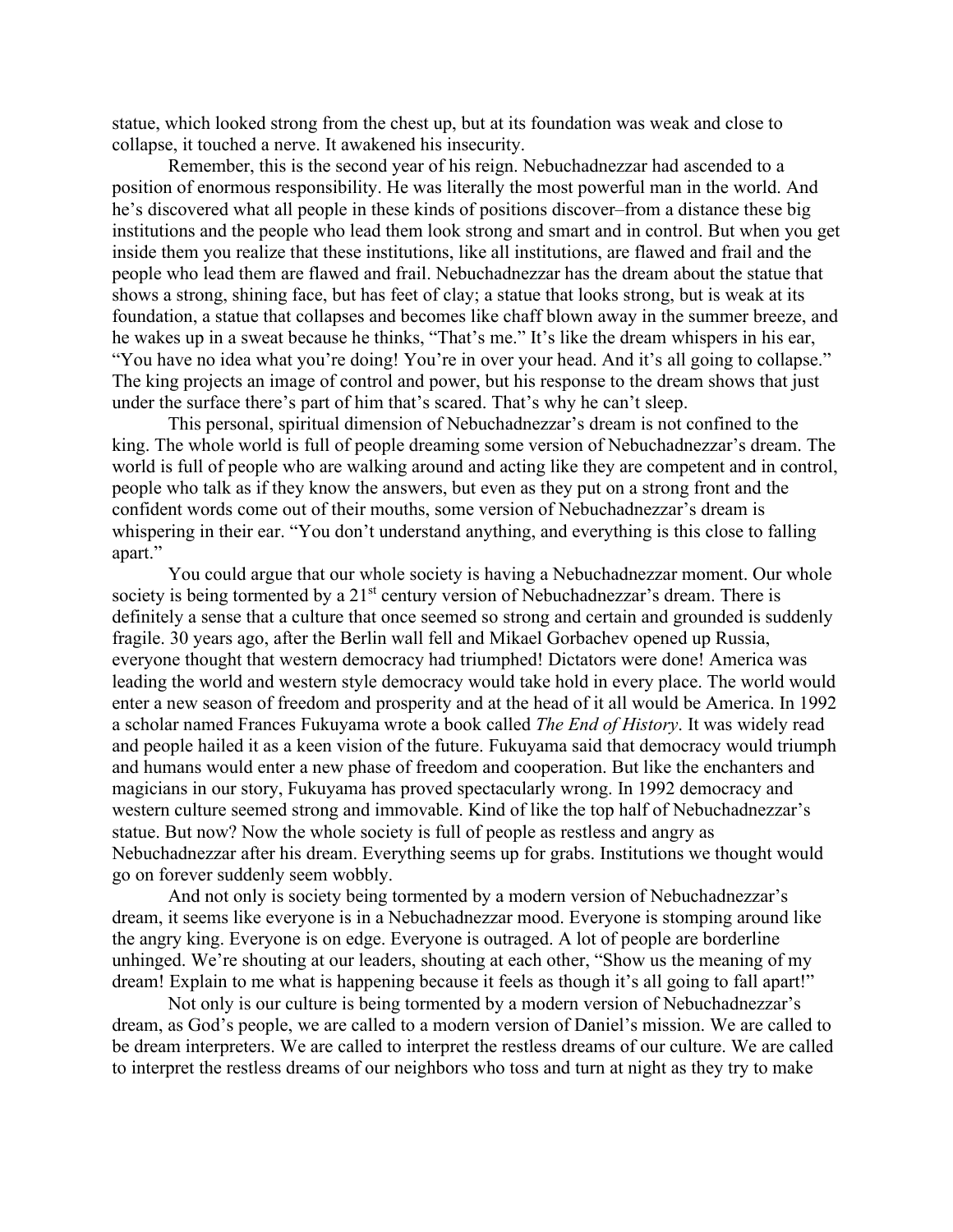statue, which looked strong from the chest up, but at its foundation was weak and close to collapse, it touched a nerve. It awakened his insecurity.

Remember, this is the second year of his reign. Nebuchadnezzar had ascended to a position of enormous responsibility. He was literally the most powerful man in the world. And he's discovered what all people in these kinds of positions discover–from a distance these big institutions and the people who lead them look strong and smart and in control. But when you get inside them you realize that these institutions, like all institutions, are flawed and frail and the people who lead them are flawed and frail. Nebuchadnezzar has the dream about the statue that shows a strong, shining face, but has feet of clay; a statue that looks strong, but is weak at its foundation, a statue that collapses and becomes like chaff blown away in the summer breeze, and he wakes up in a sweat because he thinks, "That's me." It's like the dream whispers in his ear, "You have no idea what you're doing! You're in over your head. And it's all going to collapse." The king projects an image of control and power, but his response to the dream shows that just under the surface there's part of him that's scared. That's why he can't sleep.

This personal, spiritual dimension of Nebuchadnezzar's dream is not confined to the king. The whole world is full of people dreaming some version of Nebuchadnezzar's dream. The world is full of people who are walking around and acting like they are competent and in control, people who talk as if they know the answers, but even as they put on a strong front and the confident words come out of their mouths, some version of Nebuchadnezzar's dream is whispering in their ear. "You don't understand anything, and everything is this close to falling apart."

You could argue that our whole society is having a Nebuchadnezzar moment. Our whole society is being tormented by a  $21<sup>st</sup>$  century version of Nebuchadnezzar's dream. There is definitely a sense that a culture that once seemed so strong and certain and grounded is suddenly fragile. 30 years ago, after the Berlin wall fell and Mikael Gorbachev opened up Russia, everyone thought that western democracy had triumphed! Dictators were done! America was leading the world and western style democracy would take hold in every place. The world would enter a new season of freedom and prosperity and at the head of it all would be America. In 1992 a scholar named Frances Fukuyama wrote a book called *The End of History*. It was widely read and people hailed it as a keen vision of the future. Fukuyama said that democracy would triumph and humans would enter a new phase of freedom and cooperation. But like the enchanters and magicians in our story, Fukuyama has proved spectacularly wrong. In 1992 democracy and western culture seemed strong and immovable. Kind of like the top half of Nebuchadnezzar's statue. But now? Now the whole society is full of people as restless and angry as Nebuchadnezzar after his dream. Everything seems up for grabs. Institutions we thought would go on forever suddenly seem wobbly.

And not only is society being tormented by a modern version of Nebuchadnezzar's dream, it seems like everyone is in a Nebuchadnezzar mood. Everyone is stomping around like the angry king. Everyone is on edge. Everyone is outraged. A lot of people are borderline unhinged. We're shouting at our leaders, shouting at each other, "Show us the meaning of my dream! Explain to me what is happening because it feels as though it's all going to fall apart!"

Not only is our culture is being tormented by a modern version of Nebuchadnezzar's dream, as God's people, we are called to a modern version of Daniel's mission. We are called to be dream interpreters. We are called to interpret the restless dreams of our culture. We are called to interpret the restless dreams of our neighbors who toss and turn at night as they try to make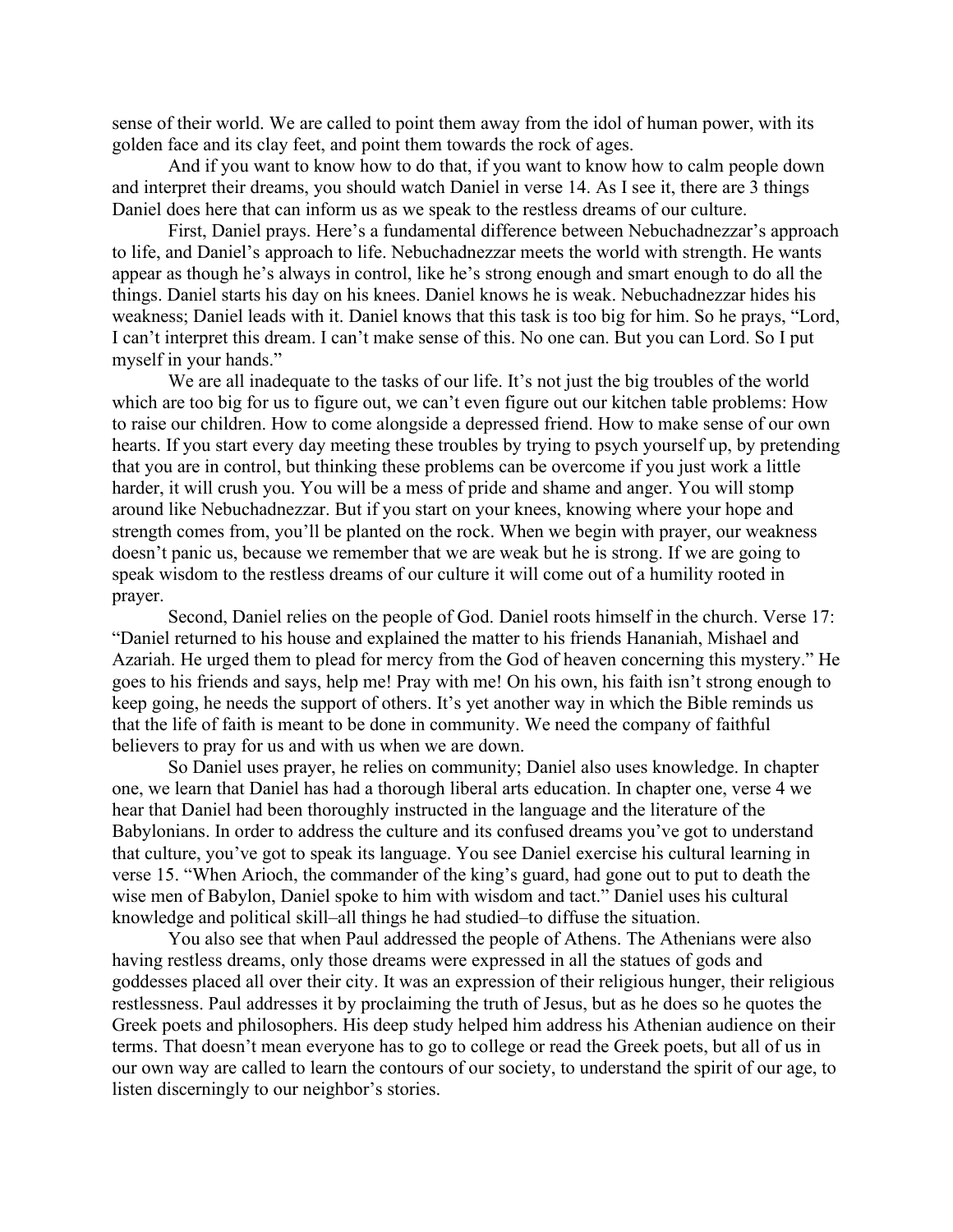sense of their world. We are called to point them away from the idol of human power, with its golden face and its clay feet, and point them towards the rock of ages.

And if you want to know how to do that, if you want to know how to calm people down and interpret their dreams, you should watch Daniel in verse 14. As I see it, there are 3 things Daniel does here that can inform us as we speak to the restless dreams of our culture.

First, Daniel prays. Here's a fundamental difference between Nebuchadnezzar's approach to life, and Daniel's approach to life. Nebuchadnezzar meets the world with strength. He wants appear as though he's always in control, like he's strong enough and smart enough to do all the things. Daniel starts his day on his knees. Daniel knows he is weak. Nebuchadnezzar hides his weakness; Daniel leads with it. Daniel knows that this task is too big for him. So he prays, "Lord, I can't interpret this dream. I can't make sense of this. No one can. But you can Lord. So I put myself in your hands."

We are all inadequate to the tasks of our life. It's not just the big troubles of the world which are too big for us to figure out, we can't even figure out our kitchen table problems: How to raise our children. How to come alongside a depressed friend. How to make sense of our own hearts. If you start every day meeting these troubles by trying to psych yourself up, by pretending that you are in control, but thinking these problems can be overcome if you just work a little harder, it will crush you. You will be a mess of pride and shame and anger. You will stomp around like Nebuchadnezzar. But if you start on your knees, knowing where your hope and strength comes from, you'll be planted on the rock. When we begin with prayer, our weakness doesn't panic us, because we remember that we are weak but he is strong. If we are going to speak wisdom to the restless dreams of our culture it will come out of a humility rooted in prayer.

Second, Daniel relies on the people of God. Daniel roots himself in the church. Verse 17: "Daniel returned to his house and explained the matter to his friends Hananiah, Mishael and Azariah. He urged them to plead for mercy from the God of heaven concerning this mystery." He goes to his friends and says, help me! Pray with me! On his own, his faith isn't strong enough to keep going, he needs the support of others. It's yet another way in which the Bible reminds us that the life of faith is meant to be done in community. We need the company of faithful believers to pray for us and with us when we are down.

So Daniel uses prayer, he relies on community; Daniel also uses knowledge. In chapter one, we learn that Daniel has had a thorough liberal arts education. In chapter one, verse 4 we hear that Daniel had been thoroughly instructed in the language and the literature of the Babylonians. In order to address the culture and its confused dreams you've got to understand that culture, you've got to speak its language. You see Daniel exercise his cultural learning in verse 15. "When Arioch, the commander of the king's guard, had gone out to put to death the wise men of Babylon, Daniel spoke to him with wisdom and tact." Daniel uses his cultural knowledge and political skill–all things he had studied–to diffuse the situation.

You also see that when Paul addressed the people of Athens. The Athenians were also having restless dreams, only those dreams were expressed in all the statues of gods and goddesses placed all over their city. It was an expression of their religious hunger, their religious restlessness. Paul addresses it by proclaiming the truth of Jesus, but as he does so he quotes the Greek poets and philosophers. His deep study helped him address his Athenian audience on their terms. That doesn't mean everyone has to go to college or read the Greek poets, but all of us in our own way are called to learn the contours of our society, to understand the spirit of our age, to listen discerningly to our neighbor's stories.